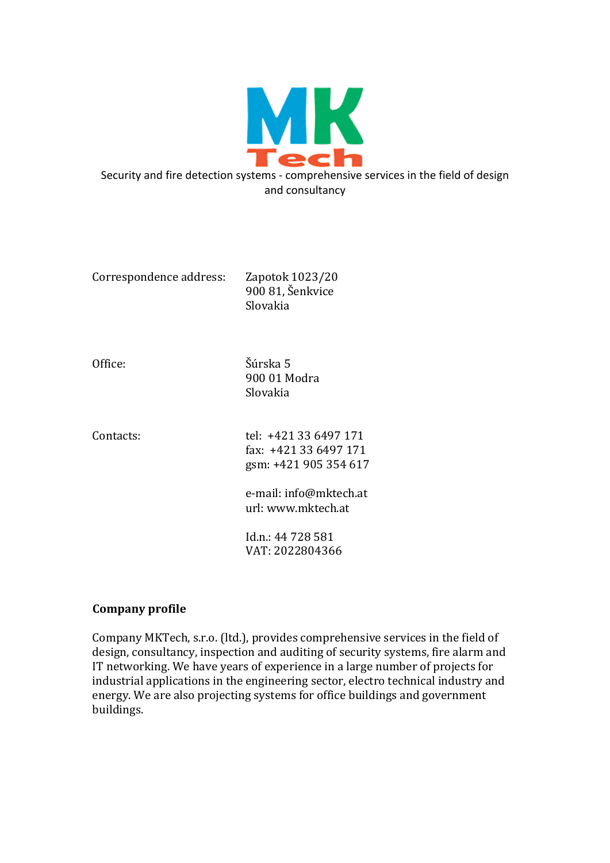

Correspondence address: Zapotok 1023/20 900 81, Šenkvice Slovakia

Office: Šúrska 5 900 01 Modra Slovakia

Contacts: tel: +421 33 6497 171 fax: +421 33 6497 171 gsm: +421 905 354 617 e-mail: info@mktech.at url: www.mktech.at

> Id.n.: 44 728 581 VAT: 2022804366

# **Company profile**

Company MKTech, s.r.o. (ltd.), provides comprehensive services in the field of design, consultancy, inspection and auditing of security systems, fire alarm and IT networking. We have years of experience in a large number of projects for industrial applications in the engineering sector, electro technical industry and energy. We are also projecting systems for office buildings and government buildings.